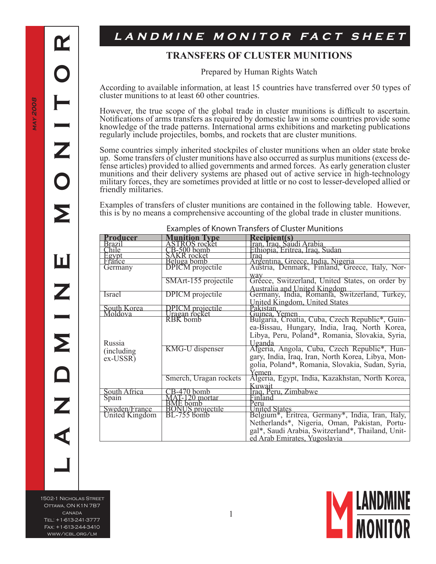$\mathbf{\Omega}$ 

Z

**L A N D M I N E M O N I T O R**

Ш

Σ

## LANDMINE MONITOR FACT SHEET

## **TRANSFERS OF CLUSTER MUNITIONS**

Prepared by Human Rights Watch

According to available information, at least 15 countries have transferred over 50 types of cluster munitions to at least 60 other countries.

However, the true scope of the global trade in cluster munitions is difficult to ascertain. Notifications of arms transfers as required by domestic law in some countries provide some knowledge of the trade patterns. International arms exhibitions and marketing publications regularly include projectiles, bombs, and rockets that are cluster munitions.

Some countries simply inherited stockpiles of cluster munitions when an older state broke up. Some transfers of cluster munitions have also occurred as surplus munitions (excess de- fense articles) provided to allied governments and armed forces. As early generation cluster fense articles) provided to allied governments and armed forces. As early generation cluster munitions and their delivery systems are phased out of active service in high-technology military forces, they are sometimes provided at little or no cost to lesser-developed allied or friendly militaries.

Examples of transfers of cluster munitions are contained in the following table. However, this is by no means a comprehensive accounting of the global trade in cluster munitions.

| Examples of Known Transiers of Cluster Munitions |                                                    |                                                                                     |  |
|--------------------------------------------------|----------------------------------------------------|-------------------------------------------------------------------------------------|--|
| <u>Producer</u>                                  | nition Type                                        | Recipient(s)                                                                        |  |
| Brazil<br>Chile                                  | <b>ASTROS</b> rocket                               | ran, Iraq, Saudi Arabia                                                             |  |
|                                                  | $CB-500$ bomb                                      | Ethiopia, Eritrea, Iraq, Sudan                                                      |  |
|                                                  | SAKR rocket                                        | rag                                                                                 |  |
| Egypt<br>Erance                                  |                                                    |                                                                                     |  |
| Germany                                          | Beluga bomb<br>DPICM projectile                    | Argentina, Greece, India, Nigeria<br>Austria, Denmark, Finland, Greece, Italy, Nor- |  |
|                                                  |                                                    | way                                                                                 |  |
|                                                  | SMArt-155 projectile                               | Gréece, Switzerland, United States, on order by                                     |  |
|                                                  |                                                    |                                                                                     |  |
| Israel                                           | <b>DPICM</b> projectile                            | Australia and United Kingdom<br>Germany, India, Romania, Switzerland, Turkey,       |  |
|                                                  |                                                    | <b>United Kingdom, United States</b>                                                |  |
| South Korea                                      | <b>DPICM</b> projectile                            | Pakistan                                                                            |  |
| Moldova                                          | Uragan rocket                                      | Guinea.<br>Yemen                                                                    |  |
|                                                  |                                                    | Bulgaría, Croatia, Cuba, Czech Republic <sup>*</sup> , Guin-                        |  |
|                                                  |                                                    | ea-Bissau, Hungary, India, Iraq, North Korea,                                       |  |
|                                                  |                                                    | Libya, Peru, Poland*, Romania, Slovakia, Syria,                                     |  |
| Russia                                           |                                                    | <u>Uganda</u>                                                                       |  |
|                                                  | <b>KMG-U</b> dispenser                             | Algeria, Angola, Cuba, Czech Republic <sup>*</sup> , Hun-                           |  |
| (including)                                      |                                                    |                                                                                     |  |
| $ex-USSR$ )                                      |                                                    | gary, India, Iraq, Iran, North Korea, Libya, Mon-                                   |  |
|                                                  |                                                    | golia, Poland*, Romania, Slovakia, Sudan, Syria,                                    |  |
|                                                  |                                                    | Yemen                                                                               |  |
|                                                  | Smerch, Uragan rockets                             | Algeria, Egypt, India, Kazakhstan, North Korea,                                     |  |
|                                                  |                                                    | Kuwait                                                                              |  |
| South Africa                                     | <u>-470 bomb</u>                                   |                                                                                     |  |
| Spain                                            | MAT-120 mortar                                     | Iraq, Peru, Zimbabwe<br>Finland                                                     |  |
|                                                  |                                                    | Peru                                                                                |  |
| Sweden/France                                    |                                                    | United States                                                                       |  |
| United Kingdom                                   | <b>BME</b> bomb<br>BONUS projectile<br>BL-755 bomb | Belgium <sup>*</sup> , Eritrea, Germany <sup>*</sup> , India, Iran, Italy,          |  |
|                                                  |                                                    | Netherlands*, Nigeria, Oman, Pakistan, Portu-                                       |  |
|                                                  |                                                    | gal*, Saudi Arabia, Switzerland*, Thailand, Unit-                                   |  |
|                                                  |                                                    |                                                                                     |  |
|                                                  |                                                    | ed Arab Emirates, Yugoslavia                                                        |  |

## Examples of Known Transfers of Cluster Munitions

1502-1 Nicholas Street Ottawa, ON K1N 7B7 canada Tel: +1-613-241-3777 Fax: +1-613-244-3410 www/icbl.org/lm